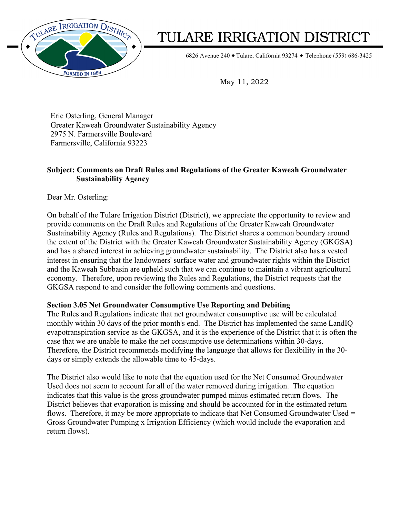

# TULARE IRRIGATION DISTRICT

6826 Avenue 240 ◆ Tulare, California 93274 ◆ Telephone (559) 686-3425

May 11, 2022

Eric Osterling, General Manager Greater Kaweah Groundwater Sustainability Agency 2975 N. Farmersville Boulevard Farmersville, California 93223

## **Subject: Comments on Draft Rules and Regulations of the Greater Kaweah Groundwater Sustainability Agency**

Dear Mr. Osterling:

On behalf of the Tulare Irrigation District (District), we appreciate the opportunity to review and provide comments on the Draft Rules and Regulations of the Greater Kaweah Groundwater Sustainability Agency (Rules and Regulations). The District shares a common boundary around the extent of the District with the Greater Kaweah Groundwater Sustainability Agency (GKGSA) and has a shared interest in achieving groundwater sustainability. The District also has a vested interest in ensuring that the landowners' surface water and groundwater rights within the District and the Kaweah Subbasin are upheld such that we can continue to maintain a vibrant agricultural economy. Therefore, upon reviewing the Rules and Regulations, the District requests that the GKGSA respond to and consider the following comments and questions.

## **Section 3.05 Net Groundwater Consumptive Use Reporting and Debiting**

The Rules and Regulations indicate that net groundwater consumptive use will be calculated monthly within 30 days of the prior month's end. The District has implemented the same LandIQ evapotranspiration service as the GKGSA, and it is the experience of the District that it is often the case that we are unable to make the net consumptive use determinations within 30-days. Therefore, the District recommends modifying the language that allows for flexibility in the 30 days or simply extends the allowable time to 45-days.

The District also would like to note that the equation used for the Net Consumed Groundwater Used does not seem to account for all of the water removed during irrigation. The equation indicates that this value is the gross groundwater pumped minus estimated return flows. The District believes that evaporation is missing and should be accounted for in the estimated return flows. Therefore, it may be more appropriate to indicate that Net Consumed Groundwater Used = Gross Groundwater Pumping x Irrigation Efficiency (which would include the evaporation and return flows).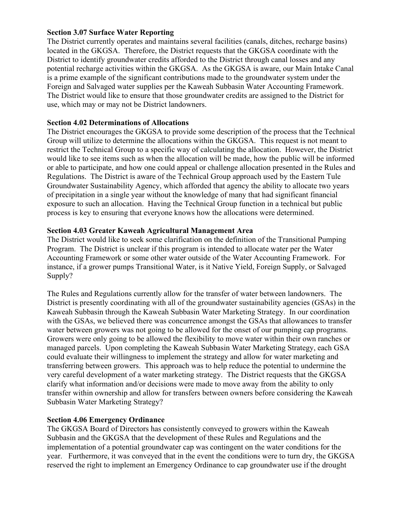### **Section 3.07 Surface Water Reporting**

The District currently operates and maintains several facilities (canals, ditches, recharge basins) located in the GKGSA. Therefore, the District requests that the GKGSA coordinate with the District to identify groundwater credits afforded to the District through canal losses and any potential recharge activities within the GKGSA. As the GKGSA is aware, our Main Intake Canal is a prime example of the significant contributions made to the groundwater system under the Foreign and Salvaged water supplies per the Kaweah Subbasin Water Accounting Framework. The District would like to ensure that those groundwater credits are assigned to the District for use, which may or may not be District landowners.

### **Section 4.02 Determinations of Allocations**

The District encourages the GKGSA to provide some description of the process that the Technical Group will utilize to determine the allocations within the GKGSA. This request is not meant to restrict the Technical Group to a specific way of calculating the allocation. However, the District would like to see items such as when the allocation will be made, how the public will be informed or able to participate, and how one could appeal or challenge allocation presented in the Rules and Regulations. The District is aware of the Technical Group approach used by the Eastern Tule Groundwater Sustainability Agency, which afforded that agency the ability to allocate two years of precipitation in a single year without the knowledge of many that had significant financial exposure to such an allocation. Having the Technical Group function in a technical but public process is key to ensuring that everyone knows how the allocations were determined.

### **Section 4.03 Greater Kaweah Agricultural Management Area**

The District would like to seek some clarification on the definition of the Transitional Pumping Program. The District is unclear if this program is intended to allocate water per the Water Accounting Framework or some other water outside of the Water Accounting Framework. For instance, if a grower pumps Transitional Water, is it Native Yield, Foreign Supply, or Salvaged Supply?

The Rules and Regulations currently allow for the transfer of water between landowners. The District is presently coordinating with all of the groundwater sustainability agencies (GSAs) in the Kaweah Subbasin through the Kaweah Subbasin Water Marketing Strategy. In our coordination with the GSAs, we believed there was concurrence amongst the GSAs that allowances to transfer water between growers was not going to be allowed for the onset of our pumping cap programs. Growers were only going to be allowed the flexibility to move water within their own ranches or managed parcels. Upon completing the Kaweah Subbasin Water Marketing Strategy, each GSA could evaluate their willingness to implement the strategy and allow for water marketing and transferring between growers. This approach was to help reduce the potential to undermine the very careful development of a water marketing strategy. The District requests that the GKGSA clarify what information and/or decisions were made to move away from the ability to only transfer within ownership and allow for transfers between owners before considering the Kaweah Subbasin Water Marketing Strategy?

## **Section 4.06 Emergency Ordinance**

The GKGSA Board of Directors has consistently conveyed to growers within the Kaweah Subbasin and the GKGSA that the development of these Rules and Regulations and the implementation of a potential groundwater cap was contingent on the water conditions for the year. Furthermore, it was conveyed that in the event the conditions were to turn dry, the GKGSA reserved the right to implement an Emergency Ordinance to cap groundwater use if the drought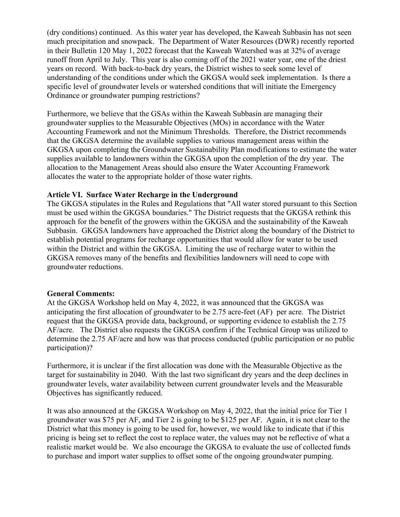(dry conditions) continued. As this water year has developed, the Kaweah Subbasin has not seen much precipitation and snowpack. The Department of Water Resources (DWR) recently reported in their Bulletin 120 May 1, 2022 forecast that the Kaweah Watershed was at 32% of average runoff from April to July. This year is also coming off of the 2021 water year, one of the driest years on record. With back-to-back dry years, the District wishes to seek some level of understanding of the conditions under which the GKGSA would seek implementation. Is there a specific level of groundwater levels or watershed conditions that will initiate the Emergency Ordinance or groundwater pumping restrictions?

Furthermore, we believe that the GSAs within the Kaweah Subbasin are managing their groundwater supplies to the Measurable Objectives (MOs) in accordance with the Water Accounting Framework and not the Minimum Thresholds. Therefore, the District recommends that the GKGSA determine the available supplies to various management areas within the GKGSA upon completing the Groundwater Sustainability Plan modifications to estimate the water supplies available to landowners within the GKGSA upon the completion of the dry year. The allocation to the Management Areas should also ensure the Water Accounting Framework allocates the water to the appropriate holder of those water rights.

### **Article VI. Surface Water Recharge in the Underground**

The GKGSA stipulates in the Rules and Regulations that "All water stored pursuant to this Section must be used within the GKGSA boundaries." The District requests that the GKGSA rethink this approach for the benefit of the growers within the GKGSA and the sustainability of the Kaweah Subbasin. GKGSA landowners have approached the District along the boundary of the District to establish potential programs for recharge opportunities that would allow for water to be used within the District and within the GKGSA. Limiting the use of recharge water to within the GKGSA removes many of the benefits and flexibilities landowners will need to cope with groundwater reductions.

#### **General Comments:**

At the GKGSA Workshop held on May 4, 2022, it was announced that the GKGSA was anticipating the first allocation of groundwater to be 2.75 acre-feet (AF) per acre. The District request that the GKGSA provide data, background, or supporting evidence to establish the 2.75 AF/acre. The District also requests the GKGSA confirm if the Technical Group was utilized to determine the 2.75 AF/acre and how was that process conducted (public participation or no public participation)?

Furthermore, it is unclear if the first allocation was done with the Measurable Objective as the target for sustainability in 2040. With the last two significant dry years and the deep declines in groundwater levels, water availability between current groundwater levels and the Measurable Objectives has significantly reduced.

It was also announced at the GKGSA Workshop on May 4, 2022, that the initial price for Tier 1 groundwater was \$75 per AF, and Tier 2 is going to be \$125 per AF. Again, it is not clear to the District what this money is going to be used for, however, we would like to indicate that if this pricing is being set to reflect the cost to replace water, the values may not be reflective of what a realistic market would be. We also encourage the GKGSA to evaluate the use of collected funds to purchase and import water supplies to offset some of the ongoing groundwater pumping.